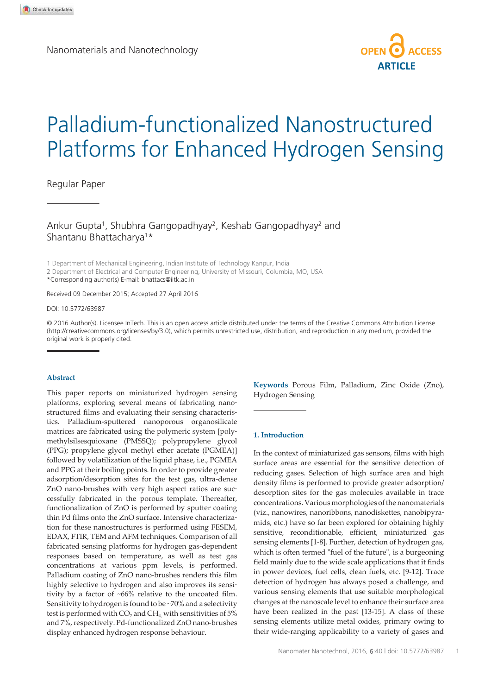Nanomaterials and Nanotechnology



# Palladium-functionalized Nanostructured Platforms for Enhanced Hydrogen Sensing

# Regular Paper

Ankur Gupta<sup>1</sup>, Shubhra Gangopadhyay<sup>2</sup>, Keshab Gangopadhyay<sup>2</sup> and Shantanu Bhattacharya<sup>1</sup>\*

1 Department of Mechanical Engineering, Indian Institute of Technology Kanpur, India

2 Department of Electrical and Computer Engineering, University of Missouri, Columbia, MO, USA \*Corresponding author(s) E-mail: bhattacs@iitk.ac.in

Received 09 December 2015; Accepted 27 April 2016

DOI: 10.5772/63987

© 2016 Author(s). Licensee InTech. This is an open access article distributed under the terms of the Creative Commons Attribution License (http://creativecommons.org/licenses/by/3.0), which permits unrestricted use, distribution, and reproduction in any medium, provided the original work is properly cited.

#### **Abstract**

This paper reports on miniaturized hydrogen sensing platforms, exploring several means of fabricating nano‐ structured films and evaluating their sensing characteris‐ tics. Palladium-sputtered nanoporous organosilicate matrices are fabricated using the polymeric system [poly‐ methylsilsesquioxane (PMSSQ); polypropylene glycol (PPG); propylene glycol methyl ether acetate (PGMEA)] followed by volatilization of the liquid phase, i.e., PGMEA and PPG at their boiling points. In order to provide greater adsorption/desorption sites for the test gas, ultra-dense ZnO nano-brushes with very high aspect ratios are suc‐ cessfully fabricated in the porous template. Thereafter, functionalization of ZnO is performed by sputter coating thin Pd films onto the ZnO surface. Intensive characteriza‐ tion for these nanostructures is performed using FESEM, EDAX, FTIR, TEM and AFM techniques. Comparison of all fabricated sensing platforms for hydrogen gas-dependent responses based on temperature, as well as test gas concentrations at various ppm levels, is performed. Palladium coating of ZnO nano-brushes renders this film highly selective to hydrogen and also improves its sensitivity by a factor of ~66% relative to the uncoated film. Sensitivity to hydrogen is found to be ~70% and a selectivity test is performed with CO<sub>2</sub> and CH<sub>4,</sub> with sensitivities of 5% and 7%, respectively. Pd-functionalized ZnO nano-brushes display enhanced hydrogen response behaviour.

**Keywords** Porous Film, Palladium, Zinc Oxide (Zno), Hydrogen Sensing

### **1. Introduction**

In the context of miniaturized gas sensors, films with high surface areas are essential for the sensitive detection of reducing gases. Selection of high surface area and high density films is performed to provide greater adsorption/ desorption sites for the gas molecules available in trace concentrations. Various morphologies of the nanomaterials (viz., nanowires, nanoribbons, nanodiskettes, nanobipyra‐ mids, etc.) have so far been explored for obtaining highly sensitive, reconditionable, efficient, miniaturized gas sensing elements [1-8]. Further, detection of hydrogen gas, which is often termed "fuel of the future", is a burgeoning field mainly due to the wide scale applications that it finds in power devices, fuel cells, clean fuels, etc. [9-12]. Trace detection of hydrogen has always posed a challenge, and various sensing elements that use suitable morphological changes at the nanoscale level to enhance their surface area have been realized in the past [13-15]. A class of these sensing elements utilize metal oxides, primary owing to their wide-ranging applicability to a variety of gases and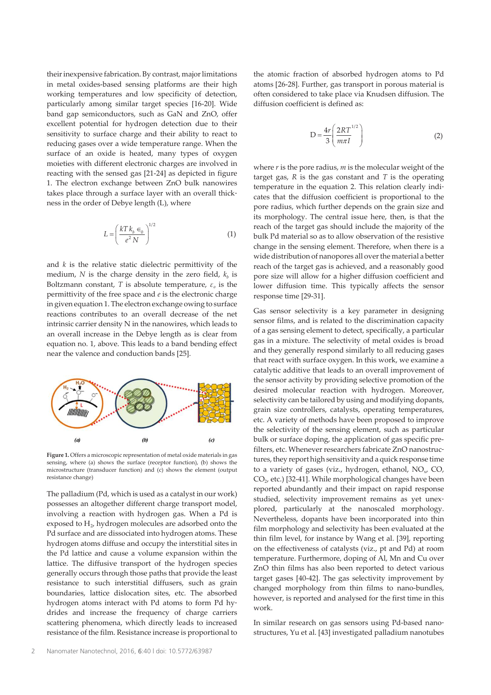their inexpensive fabrication. By contrast, major limitations in metal oxides-based sensing platforms are their high working temperatures and low specificity of detection, particularly among similar target species [16-20]. Wide band gap semiconductors, such as GaN and ZnO, offer excellent potential for hydrogen detection due to their sensitivity to surface charge and their ability to react to reducing gases over a wide temperature range. When the surface of an oxide is heated, many types of oxygen moieties with different electronic charges are involved in reacting with the sensed gas [21-24] as depicted in figure 1. The electron exchange between ZnO bulk nanowires takes place through a surface layer with an overall thick‐ ness in the order of Debye length (L), where

$$
L = \left(\frac{kT k_b \epsilon_0}{e^2 N}\right)^{1/2} \tag{1}
$$

and *k* is the relative static dielectric permittivity of the medium,  $N$  is the charge density in the zero field,  $k_b$  is Boltzmann constant,  $T$  is absolute temperature,  $\varepsilon_o$  is the permittivity of the free space and *e* is the electronic charge in given equation 1. The electron exchange owing to surface reactions contributes to an overall decrease of the net intrinsic carrier density N in the nanowires, which leads to an overall increase in the Debye length as is clear from equation no. 1, above. This leads to a band bending effect near the valence and conduction bands [25].



**Figure 1.** Offers a microscopic representation of metal oxide materials in gas sensing, where (a) shows the surface (receptor function), (b) shows the microstructure (transducer function) and (c) shows the element (output resistance change)

The palladium (Pd, which is used as a catalyst in our work) possesses an altogether different charge transport model, involving a reaction with hydrogen gas. When a Pd is exposed to  $\rm H_{2}$ , hydrogen molecules are adsorbed onto the Pd surface and are dissociated into hydrogen atoms. These hydrogen atoms diffuse and occupy the interstitial sites in the Pd lattice and cause a volume expansion within the lattice. The diffusive transport of the hydrogen species generally occurs through those paths that provide the least resistance to such interstitial diffusers, such as grain boundaries, lattice dislocation sites, etc. The absorbed hydrogen atoms interact with Pd atoms to form Pd hy‐ drides and increase the frequency of charge carriers scattering phenomena, which directly leads to increased resistance of the film. Resistance increase is proportional to

the atomic fraction of absorbed hydrogen atoms to Pd atoms [26-28]. Further, gas transport in porous material is often considered to take place via Knudsen diffusion. The diffusion coefficient is defined as:

$$
D = \frac{4r}{3} \left( \frac{2RT^{1/2}}{m\pi I} \right) \tag{2}
$$

where *r* is the pore radius, *m* is the molecular weight of the target gas, *R* is the gas constant and *T* is the operating temperature in the equation 2. This relation clearly indicates that the diffusion coefficient is proportional to the pore radius, which further depends on the grain size and its morphology. The central issue here, then, is that the reach of the target gas should include the majority of the bulk Pd material so as to allow observation of the resistive change in the sensing element. Therefore, when there is a wide distribution of nanopores all over the material a better reach of the target gas is achieved, and a reasonably good pore size will allow for a higher diffusion coefficient and lower diffusion time. This typically affects the sensor response time [29-31].

Gas sensor selectivity is a key parameter in designing sensor films, and is related to the discrimination capacity of a gas sensing element to detect, specifically, a particular gas in a mixture. The selectivity of metal oxides is broad and they generally respond similarly to all reducing gases that react with surface oxygen. In this work, we examine a catalytic additive that leads to an overall improvement of the sensor activity by providing selective promotion of the desired molecular reaction with hydrogen. Moreover, selectivity can be tailored by using and modifying dopants, grain size controllers, catalysts, operating temperatures, etc. A variety of methods have been proposed to improve the selectivity of the sensing element, such as particular bulk or surface doping, the application of gas specific prefilters, etc. Whenever researchers fabricate ZnO nanostruc‐ tures, they report high sensitivity and a quick response time to a variety of gases (viz., hydrogen, ethanol,  $NO<sub>x</sub>$ , CO,  $CO<sub>2</sub>$ , etc.) [32-41]. While morphological changes have been reported abundantly and their impact on rapid response studied, selectivity improvement remains as yet unexplored, particularly at the nanoscaled morphology. Nevertheless, dopants have been incorporated into thin film morphology and selectivity has been evaluated at the thin film level, for instance by Wang et al. [39], reporting on the effectiveness of catalysts (viz., pt and Pd) at room temperature. Furthermore, doping of Al, Mn and Cu over ZnO thin films has also been reported to detect various target gases [40-42]. The gas selectivity improvement by changed morphology from thin films to nano-bundles, however, is reported and analysed for the first time in this work.

In similar research on gas sensors using Pd-based nano‐ structures, Yu et al. [43] investigated palladium nanotubes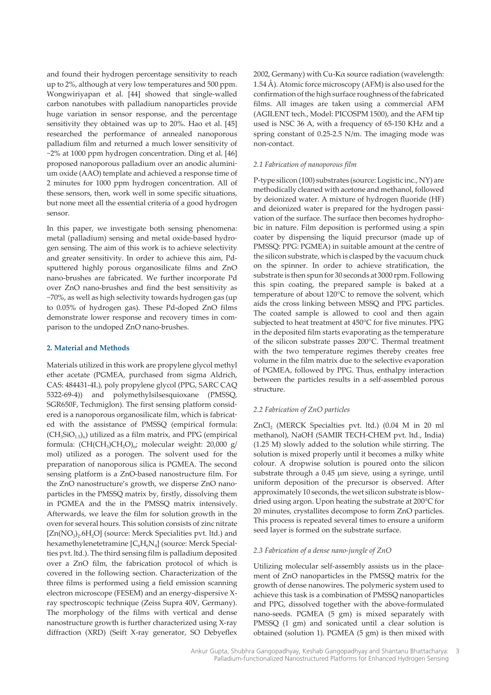and found their hydrogen percentage sensitivity to reach up to 2%, although at very low temperatures and 500 ppm. Wongwiriyapan et al. [44] showed that single-walled carbon nanotubes with palladium nanoparticles provide huge variation in sensor response, and the percentage sensitivity they obtained was up to 20%. Hao et al. [45] researched the performance of annealed nanoporous palladium film and returned a much lower sensitivity of ~2% at 1000 ppm hydrogen concentration. Ding et al. [46] proposed nanoporous palladium over an anodic alumini‐ um oxide (AAO) template and achieved a response time of 2 minutes for 1000 ppm hydrogen concentration. All of these sensors, then, work well in some specific situations, but none meet all the essential criteria of a good hydrogen sensor.

In this paper, we investigate both sensing phenomena: metal (palladium) sensing and metal oxide-based hydro‐ gen sensing. The aim of this work is to achieve selectivity and greater sensitivity. In order to achieve this aim, Pdsputtered highly porous organosilicate films and ZnO nano-brushes are fabricated. We further incorporate Pd over ZnO nano-brushes and find the best sensitivity as ~70%, as well as high selectivity towards hydrogen gas (up to 0.05% of hydrogen gas). These Pd-doped ZnO films demonstrate lower response and recovery times in comparison to the undoped ZnO nano-brushes.

# **2. Material and Methods**

Materials utilized in this work are propylene glycol methyl ether acetate (PGMEA, purchased from sigma Aldrich, CAS: 484431-4L), poly propylene glycol (PPG, SARC CAQ 5322-69-4)) and polymethylsilsesquioxane (PMSSQ, SGR650F, Techmiglon). The first sensing platform consid‐ ered is a nanoporous organosilicate film, which is fabricated with the assistance of PMSSQ (empirical formula:  $(CH_3SiO_{1.5})$ <sub>n</sub>) utilized as a film matrix, and PPG (empirical formula:  $(\text{CH}(\text{CH}_{3})\text{CH}_{2}\text{O})_{\text{n}}$ ; molecular weight: 20,000 g/ mol) utilized as a porogen. The solvent used for the preparation of nanoporous silica is PGMEA. The second sensing platform is a ZnO-based nanostructure film. For the ZnO nanostructure's growth, we disperse ZnO nano‐ particles in the PMSSQ matrix by, firstly, dissolving them in PGMEA and the in the PMSSQ matrix intensively. Afterwards, we leave the film for solution growth in the oven for several hours. This solution consists of zinc nitrate [Zn(NO<sub>3</sub>)<sub>2</sub>.6H<sub>2</sub>O] (source: Merck Specialities pvt. ltd.) and hexamethylenetetramine [ $\text{C}_6\text{H}_6\text{N}_4$ ] (source: Merck Specialties pvt. ltd.). The third sensing film is palladium deposited over a ZnO film, the fabrication protocol of which is covered in the following section. Characterization of the three films is performed using a field emission scanning electron microscope (FESEM) and an energy-dispersive Xray spectroscopic technique (Zeiss Supra 40V, Germany). The morphology of the films with vertical and dense nanostructure growth is further characterized using X-ray diffraction (XRD) (Seift X-ray generator, SO Debyeflex

2002, Germany) with Cu-Kα source radiation (wavelength: 1.54 Å). Atomic force microscopy (AFM) is also used for the confirmation of the high surface roughness of the fabricated films. All images are taken using a commercial AFM (AGILENT tech., Model: PICOSPM 1500), and the AFM tip used is NSC 36 A, with a frequency of 65-150 KHz and a spring constant of 0.25-2.5 N/m. The imaging mode was non-contact.

# *2.1 Fabrication of nanoporous film*

P-type silicon (100) substrates (source: Logistic inc., NY) are methodically cleaned with acetone and methanol, followed by deionized water. A mixture of hydrogen fluoride (HF) and deionized water is prepared for the hydrogen passivation of the surface. The surface then becomes hydrophobic in nature. Film deposition is performed using a spin coater by dispensing the liquid precursor (made up of PMSSQ: PPG: PGMEA) in suitable amount at the centre of the silicon substrate, which is clasped by the vacuum chuck on the spinner. In order to achieve stratification, the substrate is then spun for 30 seconds at 3000 rpm. Following this spin coating, the prepared sample is baked at a temperature of about 120°C to remove the solvent, which aids the cross linking between MSSQ and PPG particles. The coated sample is allowed to cool and then again subjected to heat treatment at 450°C for five minutes. PPG in the deposited film starts evaporating as the temperature of the silicon substrate passes 200°C. Thermal treatment with the two temperature regimes thereby creates free volume in the film matrix due to the selective evaporation of PGMEA, followed by PPG. Thus, enthalpy interaction between the particles results in a self-assembled porous structure.

#### *2.2 Fabrication of ZnO particles*

 $ZnCl<sub>2</sub>$  (MERCK Specialties pvt. ltd.) (0.04 M in 20 ml methanol), NaOH (SAMIR TECH-CHEM pvt. ltd., India) (1.25 M) slowly added to the solution while stirring. The solution is mixed properly until it becomes a milky white colour. A dropwise solution is poured onto the silicon substrate through a 0.45 µm sieve, using a syringe, until uniform deposition of the precursor is observed. After approximately 10 seconds, the wet silicon substrate is blowdried using argon. Upon heating the substrate at 200°C for 20 minutes, crystallites decompose to form ZnO particles. This process is repeated several times to ensure a uniform seed layer is formed on the substrate surface.

# *2.3 Fabrication of a dense nano-jungle of ZnO*

Utilizing molecular self-assembly assists us in the place‐ ment of ZnO nanoparticles in the PMSSQ matrix for the growth of dense nanowires. The polymeric system used to achieve this task is a combination of PMSSQ nanoparticles and PPG, dissolved together with the above-formulated nano-seeds. PGMEA (5 gm) is mixed separately with PMSSQ (1 gm) and sonicated until a clear solution is obtained (solution 1). PGMEA (5 gm) is then mixed with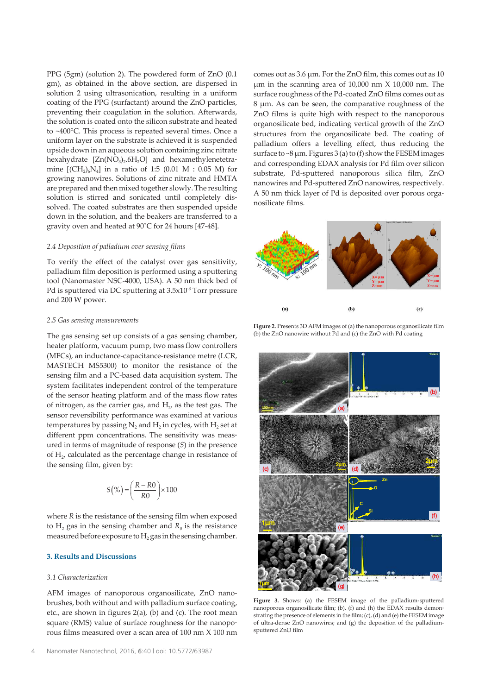PPG (5gm) (solution 2). The powdered form of ZnO (0.1 gm), as obtained in the above section, are dispersed in solution 2 using ultrasonication, resulting in a uniform coating of the PPG (surfactant) around the ZnO particles, preventing their coagulation in the solution. Afterwards, the solution is coated onto the silicon substrate and heated to ~400°C. This process is repeated several times. Once a uniform layer on the substrate is achieved it is suspended upside down in an aqueous solution containing zinc nitrate hexahydrate [Zn(NO<sub>3</sub>)<sub>2</sub>.6H<sub>2</sub>O] and hexamethylenetetramine  $[(CH_2)_6N_4]$  in a ratio of 1:5 (0.01 M : 0.05 M) for growing nanowires. Solutions of zinc nitrate and HMTA are prepared and then mixed together slowly. The resulting solution is stirred and sonicated until completely dis‐ solved. The coated substrates are then suspended upside down in the solution, and the beakers are transferred to a gravity oven and heated at 90˚C for 24 hours [47-48].

#### *2.4 Deposition of palladium over sensing films*

To verify the effect of the catalyst over gas sensitivity, palladium film deposition is performed using a sputtering tool (Nanomaster NSC-4000, USA). A 50 nm thick bed of Pd is sputtered via DC sputtering at 3.5x10<sup>-3</sup> Torr pressure and 200 W power.

#### *2.5 Gas sensing measurements*

The gas sensing set up consists of a gas sensing chamber, heater platform, vacuum pump, two mass flow controllers (MFCs), an inductance-capacitance-resistance metre (LCR, MASTECH MS5300) to monitor the resistance of the sensing film and a PC-based data acquisition system. The system facilitates independent control of the temperature of the sensor heating platform and of the mass flow rates of nitrogen, as the carrier gas, and  $H_2$ , as the test gas. The sensor reversibility performance was examined at various temperatures by passing  $\mathrm{N}_2$  and  $\mathrm{H}_2$  in cycles, with  $\mathrm{H}_2$  set at different ppm concentrations. The sensitivity was measured in terms of magnitude of response (*S*) in the presence of  $H_2$ , calculated as the percentage change in resistance of the sensing film, given by:

$$
S(\%)=\left(\frac{R-R0}{R0}\right)\times100
$$

where *R* is the resistance of the sensing film when exposed to  $H_2$  gas in the sensing chamber and  $R_0$  is the resistance measured before exposure to  $\rm H_2$  gas in the sensing chamber.

# **3. Results and Discussions**

#### *3.1 Characterization*

AFM images of nanoporous organosilicate, ZnO nanobrushes, both without and with palladium surface coating, etc., are shown in figures 2(a), (b) and (c). The root mean square (RMS) value of surface roughness for the nanoporous films measured over a scan area of 100 nm X 100 nm

comes out as 3.6 µm. For the ZnO film, this comes out as 10 µm in the scanning area of 10,000 nm X 10,000 nm. The surface roughness of the Pd-coated ZnO films comes out as 8 µm. As can be seen, the comparative roughness of the ZnO films is quite high with respect to the nanoporous organosilicate bed, indicating vertical growth of the ZnO structures from the organosilicate bed. The coating of palladium offers a levelling effect, thus reducing the surface to  $\sim$ 8 µm. Figures 3 (a) to (f) show the FESEM images and corresponding EDAX analysis for Pd film over silicon substrate, Pd-sputtered nanoporous silica film, ZnO nanowires and Pd-sputtered ZnO nanowires, respectively. A 50 nm thick layer of Pd is deposited over porous orga‐ nosilicate films.



**Figure 2.** Presents 3D AFM images of (a) the nanoporous organosilicate film (b) the ZnO nanowire without Pd and (c) the ZnO with Pd coating



**Figure 3.** Shows: (a) the FESEM image of the palladium-sputtered nanoporous organosilicate film; (b), (f) and (h) the EDAX results demonstrating the presence of elements in the film; (c), (d) and (e) the FESEM image of ultra-dense ZnO nanowires; and (g) the deposition of the palladiumsputtered ZnO film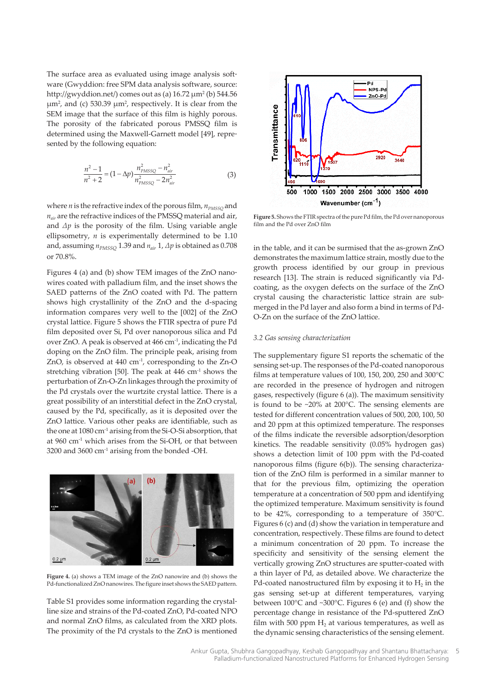The surface area as evaluated using image analysis software (Gwyddion: free SPM data analysis software, source: http://gwyddion.net/) comes out as (a) 16.72 µm<sup>2</sup> (b) 544.56  $\mu$ m<sup>2</sup>, and (c) 530.39  $\mu$ m<sup>2</sup>, respectively. It is clear from the SEM image that the surface of this film is highly porous. The porosity of the fabricated porous PMSSQ film is determined using the Maxwell-Garnett model [49], repre‐ sented by the following equation:

$$
\frac{n^2 - 1}{n^2 + 2} = (1 - \Delta p) \frac{n_{PMSSQ}^2 - n_{air}^2}{n_{PMSSQ}^2 - 2n_{air}^2}
$$
(3)

where *n* is the refractive index of the porous film,  $n_{PMSSO}$  and *nair* are the refractive indices of the PMSSQ material and air, and  $\Delta p$  is the porosity of the film. Using variable angle ellipsometry, *n* is experimentally determined to be 1.10 and, assuming *nPMSSQ* 1.39 and *nair* 1, *Δp* is obtained as 0.708 or 70.8%.

Figures 4 (a) and (b) show TEM images of the ZnO nano‐ wires coated with palladium film, and the inset shows the SAED patterns of the ZnO coated with Pd. The pattern shows high crystallinity of the ZnO and the d-spacing information compares very well to the [002] of the ZnO crystal lattice. Figure 5 shows the FTIR spectra of pure Pd film deposited over Si, Pd over nanoporous silica and Pd over ZnO. A peak is observed at 466 cm-1, indicating the Pd doping on the ZnO film. The principle peak, arising from ZnO, is observed at 440 cm<sup>-1</sup>, corresponding to the Zn-O stretching vibration [50]. The peak at 446 cm-1 shows the perturbation of Zn-O-Zn linkages through the proximity of the Pd crystals over the wurtzite crystal lattice. There is a great possibility of an interstitial defect in the ZnO crystal, caused by the Pd, specifically, as it is deposited over the ZnO lattice. Various other peaks are identifiable, such as the one at 1080 cm-1 arising from the Si-O-Si absorption, that at 960 cm-1 which arises from the Si-OH, or that between 3200 and 3600 cm-1 arising from the bonded -OH.



**Figure 4.** (a) shows a TEM image of the ZnO nanowire and (b) shows the Pd-functionalized ZnO nanowires. The figure inset shows the SAED pattern.

Table S1 provides some information regarding the crystal‐ line size and strains of the Pd-coated ZnO, Pd-coated NPO and normal ZnO films, as calculated from the XRD plots. The proximity of the Pd crystals to the ZnO is mentioned



**Figure 5.** Shows the FTIR spectra of the pure Pd film, the Pd over nanoporous film and the Pd over ZnO film

in the table, and it can be surmised that the as-grown ZnO demonstrates the maximum lattice strain, mostly due to the growth process identified by our group in previous research [13]. The strain is reduced significantly via Pdcoating, as the oxygen defects on the surface of the ZnO crystal causing the characteristic lattice strain are sub‐ merged in the Pd layer and also form a bind in terms of Pd-O-Zn on the surface of the ZnO lattice.

#### *3.2 Gas sensing characterization*

The supplementary figure S1 reports the schematic of the sensing set-up. The responses of the Pd-coated nanoporous films at temperature values of 100, 150, 200, 250 and 300°C are recorded in the presence of hydrogen and nitrogen gases, respectively (figure 6 (a)). The maximum sensitivity is found to be ~20% at 200°C. The sensing elements are tested for different concentration values of 500, 200, 100, 50 and 20 ppm at this optimized temperature. The responses of the films indicate the reversible adsorption/desorption kinetics. The readable sensitivity (0.05% hydrogen gas) shows a detection limit of 100 ppm with the Pd-coated nanoporous films (figure 6(b)). The sensing characteriza‐ tion of the ZnO film is performed in a similar manner to that for the previous film, optimizing the operation temperature at a concentration of 500 ppm and identifying the optimized temperature. Maximum sensitivity is found to be 42%, corresponding to a temperature of 350°C. Figures 6 (c) and (d) show the variation in temperature and concentration, respectively. These films are found to detect a minimum concentration of 20 ppm. To increase the specificity and sensitivity of the sensing element the vertically growing ZnO structures are sputter-coated with a thin layer of Pd, as detailed above. We characterize the Pd-coated nanostructured film by exposing it to  $H_2$  in the gas sensing set-up at different temperatures, varying between 100°C and ~300°C. Figures 6 (e) and (f) show the percentage change in resistance of the Pd-sputtered ZnO film with 500 ppm  $H_2$  at various temperatures, as well as the dynamic sensing characteristics of the sensing element.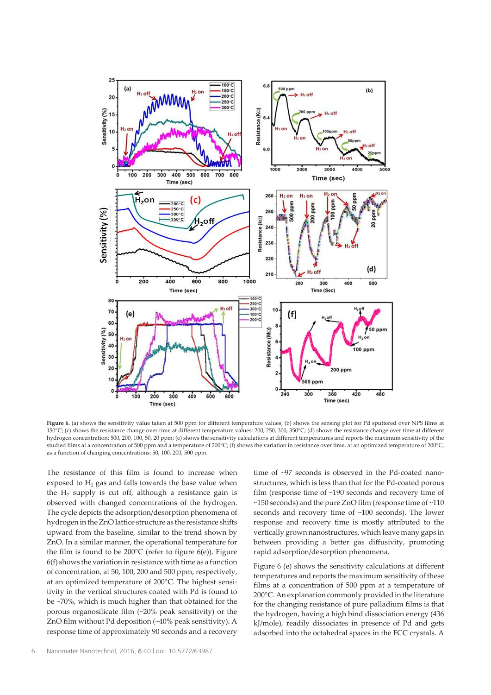

Figure 6. (a) shows the sensitivity value taken at 500 ppm for different temperature values; (b) shows the sensing plot for Pd sputtered over NPS films at 150°C; (c) shows the resistance change over time at different temperature values: 200, 250, 300, 350°C; (d) shows the resistance change over time at different hydrogen concentration: 500, 200, 100, 50, 20 ppm; (e) shows the sensitivity calculations at different temperatures and reports the maximum sensitivity of the studied films at a concentration of 500 ppm and a temperature of 200°C; (f) shows the variation in resistance over time, at an optimized temperature of 200°C, as a function of changing concentrations: 50, 100, 200, 500 ppm.

The resistance of this film is found to increase when exposed to  $\rm{H}_{2}$  gas and falls towards the base value when the  $\rm{H}_{2}$  supply is cut off, although a resistance gain is observed with changed concentrations of the hydrogen. The cycle depicts the adsorption/desorption phenomena of hydrogen in the ZnO lattice structure as the resistance shifts upward from the baseline, similar to the trend shown by ZnO. In a similar manner, the operational temperature for the film is found to be 200°C (refer to figure 6(e)). Figure 6(f) shows the variation in resistance with time as a function of concentration, at 50, 100, 200 and 500 ppm, respectively, at an optimized temperature of 200°C. The highest sensitivity in the vertical structures coated with Pd is found to be ~70%, which is much higher than that obtained for the porous organosilicate film (~20% peak sensitivity) or the ZnO film without Pd deposition (~40% peak sensitivity). A response time of approximately 90 seconds and a recovery time of ~97 seconds is observed in the Pd-coated nanostructures, which is less than that for the Pd-coated porous film (response time of ~190 seconds and recovery time of ~150 seconds) and the pure ZnO film (response time of ~110 seconds and recovery time of ~100 seconds). The lower response and recovery time is mostly attributed to the vertically grown nanostructures, which leave many gaps in between providing a better gas diffusivity, promoting rapid adsorption/desorption phenomena.

Figure 6 (e) shows the sensitivity calculations at different temperatures and reports the maximum sensitivity of these films at a concentration of 500 ppm at a temperature of 200°C. An explanation commonly provided in the literature for the changing resistance of pure palladium films is that the hydrogen, having a high bind dissociation energy (436 kJ/mole), readily dissociates in presence of Pd and gets adsorbed into the octahedral spaces in the FCC crystals. A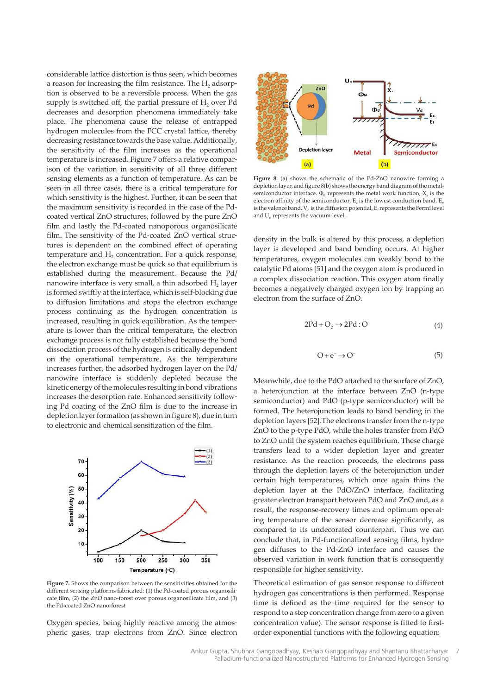considerable lattice distortion is thus seen, which becomes a reason for increasing the film resistance. The  $\rm H_2$  adsorption is observed to be a reversible process. When the gas supply is switched off, the partial pressure of  $H_2$  over Pd decreases and desorption phenomena immediately take place. The phenomena cause the release of entrapped hydrogen molecules from the FCC crystal lattice, thereby decreasing resistance towards the base value. Additionally, the sensitivity of the film increases as the operational temperature is increased. Figure 7 offers a relative comparison of the variation in sensitivity of all three different sensing elements as a function of temperature. As can be seen in all three cases, there is a critical temperature for which sensitivity is the highest. Further, it can be seen that the maximum sensitivity is recorded in the case of the Pdcoated vertical ZnO structures, followed by the pure ZnO film and lastly the Pd-coated nanoporous organosilicate film. The sensitivity of the Pd-coated ZnO vertical structures is dependent on the combined effect of operating temperature and  $H_2$  concentration. For a quick response, the electron exchange must be quick so that equilibrium is established during the measurement. Because the Pd/ nanowire interface is very small, a thin adsorbed  $\rm H_{2}$  layer is formed swiftly at the interface, which is self-blocking due to diffusion limitations and stops the electron exchange process continuing as the hydrogen concentration is increased, resulting in quick equilibration. As the temperature is lower than the critical temperature, the electron exchange process is not fully established because the bond dissociation process of the hydrogen is critically dependent on the operational temperature. As the temperature increases further, the adsorbed hydrogen layer on the Pd/ nanowire interface is suddenly depleted because the kinetic energy of the molecules resulting in bond vibrations increases the desorption rate. Enhanced sensitivity follow‐ ing Pd coating of the ZnO film is due to the increase in depletion layer formation (as shown in figure 8), due in turn to electronic and chemical sensitization of the film.



Figure 7. Shows the comparison between the sensitivities obtained for the different sensing platforms fabricated: (1) the Pd-coated porous organosilicate film, (2) the ZnO nano-forest over porous organosilicate film, and (3) the Pd-coated ZnO nano-forest

Oxygen species, being highly reactive among the atmospheric gases, trap electrons from ZnO. Since electron



Figure 8. (a) shows the schematic of the Pd-ZnO nanowire forming a depletion layer, and figure 8(b) shows the energy band diagram of the metalsemiconductor interface.  $\Phi_B$  represents the metal work function,  $X_s$  is the electron affinity of the semiconductor,  $E_c$  is the lowest conduction band,  $E_v$ is the valence band,  $V_d$  is the diffusion potential,  $E_f$  represents the Fermi level and U<sub>o</sub> represents the vacuum level.

density in the bulk is altered by this process, a depletion layer is developed and band bending occurs. At higher temperatures, oxygen molecules can weakly bond to the catalytic Pd atoms [51] and the oxygen atom is produced in a complex dissociation reaction. This oxygen atom finally becomes a negatively charged oxygen ion by trapping an electron from the surface of ZnO.

$$
2Pd + O_2 \rightarrow 2Pd:O \tag{4}
$$

$$
O + e^- \to O^- \tag{5}
$$

Meanwhile, due to the PdO attached to the surface of ZnO, a heterojunction at the interface between ZnO (n-type semiconductor) and PdO (p-type semiconductor) will be formed. The heterojunction leads to band bending in the depletion layers [52].The electrons transfer from the n-type ZnO to the p-type PdO, while the holes transfer from PdO to ZnO until the system reaches equilibrium. These charge transfers lead to a wider depletion layer and greater resistance. As the reaction proceeds, the electrons pass through the depletion layers of the heterojunction under certain high temperatures, which once again thins the depletion layer at the PdO/ZnO interface, facilitating greater electron transport between PdO and ZnO and, as a result, the response-recovery times and optimum operating temperature of the sensor decrease significantly, as compared to its undecorated counterpart. Thus we can conclude that, in Pd-functionalized sensing films, hydrogen diffuses to the Pd-ZnO interface and causes the observed variation in work function that is consequently responsible for higher sensitivity.

Theoretical estimation of gas sensor response to different hydrogen gas concentrations is then performed. Response time is defined as the time required for the sensor to respond to a step concentration change from zero to a given concentration value). The sensor response is fitted to firstorder exponential functions with the following equation: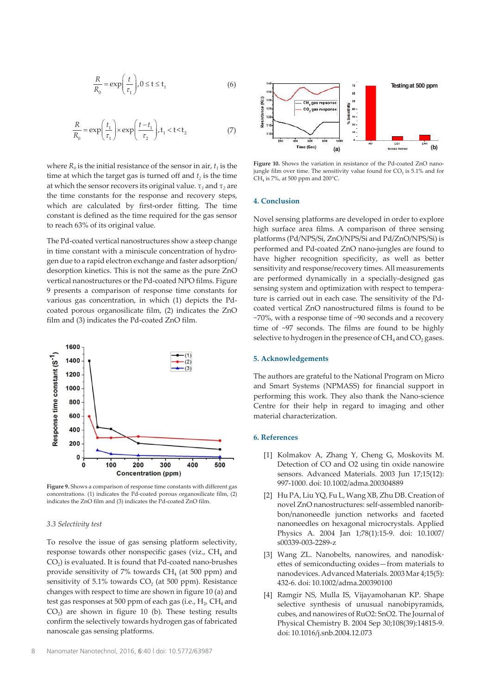$$
\frac{R}{R_0} = \exp\left(\frac{t}{\tau_1}\right), 0 \le t \le t_1
$$
\n(6)

$$
\frac{R}{R_0} = \exp\left(\frac{t_1}{\tau_1}\right) \times \exp\left(\frac{t - t_1}{\tau_2}\right), t_1 < t < t_2 \tag{7}
$$

where  $R_0$  is the initial resistance of the sensor in air,  $t_1$  is the time at which the target gas is turned off and *t<sup>2</sup>* is the time at which the sensor recovers its original value.  $\tau_{\scriptscriptstyle 1}$  and  $\tau_{\scriptscriptstyle 2}$  are the time constants for the response and recovery steps, which are calculated by first-order fitting. The time constant is defined as the time required for the gas sensor to reach 63% of its original value.

The Pd-coated vertical nanostructures show a steep change in time constant with a miniscule concentration of hydrogen due to a rapid electron exchange and faster adsorption/ desorption kinetics. This is not the same as the pure ZnO vertical nanostructures or the Pd-coated NPO films. Figure 9 presents a comparison of response time constants for various gas concentration, in which (1) depicts the Pdcoated porous organosilicate film, (2) indicates the ZnO film and (3) indicates the Pd-coated ZnO film.



**Figure 9.** Shows a comparison of response time constants with different gas concentrations. (1) indicates the Pd-coated porous organosilicate film, (2) indicates the ZnO film and (3) indicates the Pd-coated ZnO film.

#### *3.3 Selectivity test*

To resolve the issue of gas sensing platform selectivity, response towards other nonspecific gases (viz.,  $\rm CH_{4}$  and  $\mathrm{CO}_2$ ) is evaluated. It is found that Pd-coated nano-brushes provide sensitivity of 7% towards  $\mathrm{CH}_4$  (at 500 ppm) and sensitivity of 5.1% towards  $\mathrm{CO}_2$  (at 500 ppm). Resistance changes with respect to time are shown in figure 10 (a) and test gas responses at 500 ppm of each gas (i.e.,  $\rm H_{2}$ ,  $\rm CH_{4}$  and  $CO<sub>2</sub>$ ) are shown in figure 10 (b). These testing results confirm the selectively towards hydrogen gas of fabricated nanoscale gas sensing platforms.



Figure 10. Shows the variation in resistance of the Pd-coated ZnO nanojungle film over time. The sensitivity value found for  $CO<sub>2</sub>$  is 5.1% and for CH<sup>4</sup> is 7%, at 500 ppm and 200°C.

#### **4. Conclusion**

Novel sensing platforms are developed in order to explore high surface area films. A comparison of three sensing platforms (Pd/NPS/Si, ZnO/NPS/Si and Pd/ZnO/NPS/Si) is performed and Pd-coated ZnO nano-jungles are found to have higher recognition specificity, as well as better sensitivity and response/recovery times. All measurements are performed dynamically in a specially-designed gas sensing system and optimization with respect to tempera‐ ture is carried out in each case. The sensitivity of the Pdcoated vertical ZnO nanostructured films is found to be ~70%, with a response time of ~90 seconds and a recovery time of ~97 seconds. The films are found to be highly selective to hydrogen in the presence of  $CH_4$  and  $CO_2$  gases.

#### **5. Acknowledgements**

The authors are grateful to the National Program on Micro and Smart Systems (NPMASS) for financial support in performing this work. They also thank the Nano-science Centre for their help in regard to imaging and other material characterization.

# **6. References**

- [1] Kolmakov A, Zhang Y, Cheng G, Moskovits M. Detection of CO and O2 using tin oxide nanowire sensors. Advanced Materials. 2003 Jun 17;15(12): 997-1000. doi: 10.1002/adma.200304889
- [2] Hu PA, Liu YQ, Fu L, Wang XB, Zhu DB. Creation of novel ZnO nanostructures: self-assembled nanorib‐ bon/nanoneedle junction networks and faceted nanoneedles on hexagonal microcrystals. Applied Physics A. 2004 Jan 1;78(1):15-9. doi: 10.1007/ s00339-003-2289-z
- [3] Wang ZL. Nanobelts, nanowires, and nanodiskettes of semiconducting oxides—from materials to nanodevices. Advanced Materials. 2003 Mar 4;15(5): 432-6. doi: 10.1002/adma.200390100
- [4] Ramgir NS, Mulla IS, Vijayamohanan KP. Shape selective synthesis of unusual nanobipyramids, cubes, and nanowires of RuO2: SnO2. The Journal of Physical Chemistry B. 2004 Sep 30;108(39):14815-9. doi: 10.1016/j.snb.2004.12.073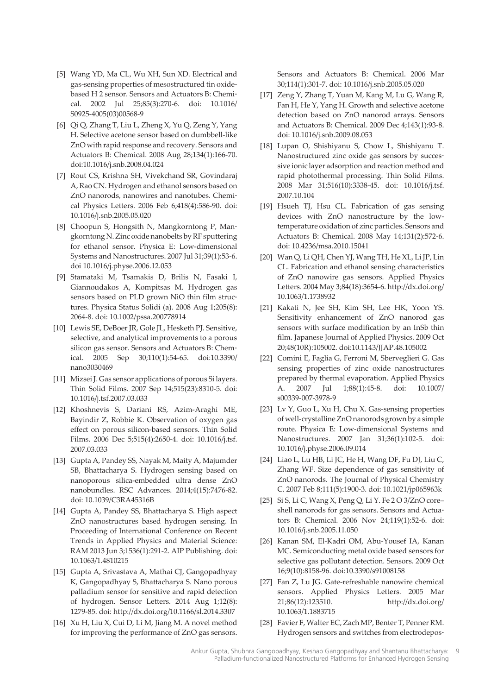- [5] Wang YD, Ma CL, Wu XH, Sun XD. Electrical and gas-sensing properties of mesostructured tin oxidebased H 2 sensor. Sensors and Actuators B: Chemi‐ cal. 2002 Jul 25;85(3):270-6. doi: 10.1016/ S0925-4005(03)00568-9
- [6] Qi Q, Zhang T, Liu L, Zheng X, Yu Q, Zeng Y, Yang H. Selective acetone sensor based on dumbbell-like ZnO with rapid response and recovery. Sensors and Actuators B: Chemical. 2008 Aug 28;134(1):166-70. doi:10.1016/j.snb.2008.04.024
- [7] Rout CS, Krishna SH, Vivekchand SR, Govindaraj A, Rao CN. Hydrogen and ethanol sensors based on ZnO nanorods, nanowires and nanotubes. Chemi‐ cal Physics Letters. 2006 Feb 6;418(4):586-90. doi: 10.1016/j.snb.2005.05.020
- [8] Choopun S, Hongsith N, Mangkorntong P, Mangkorntong N. Zinc oxide nanobelts by RF sputtering for ethanol sensor. Physica E: Low-dimensional Systems and Nanostructures. 2007 Jul 31;39(1):53-6. doi 10.1016/j.physe.2006.12.053
- [9] Stamataki M, Tsamakis D, Brilis N, Fasaki I, Giannoudakos A, Kompitsas M. Hydrogen gas sensors based on PLD grown NiO thin film structures. Physica Status Solidi (a). 2008 Aug 1;205(8): 2064-8. doi: 10.1002/pssa.200778914
- [10] Lewis SE, DeBoer JR, Gole JL, Hesketh PJ. Sensitive, selective, and analytical improvements to a porous silicon gas sensor. Sensors and Actuators B: Chemical. 2005 Sep 30;110(1):54-65. doi:10.3390/ nano3030469
- [11] Mizsei J. Gas sensor applications of porous Si layers. Thin Solid Films. 2007 Sep 14;515(23):8310-5. doi: 10.1016/j.tsf.2007.03.033
- [12] Khoshnevis S, Dariani RS, Azim-Araghi ME, Bayindir Z, Robbie K. Observation of oxygen gas effect on porous silicon-based sensors. Thin Solid Films. 2006 Dec 5;515(4):2650-4. doi: 10.1016/j.tsf. 2007.03.033
- [13] Gupta A, Pandey SS, Nayak M, Maity A, Majumder SB, Bhattacharya S. Hydrogen sensing based on nanoporous silica-embedded ultra dense ZnO nanobundles. RSC Advances. 2014;4(15):7476-82. doi: 10.1039/C3RA45316B
- [14] Gupta A, Pandey SS, Bhattacharya S. High aspect ZnO nanostructures based hydrogen sensing. In Proceeding of International Conference on Recent Trends in Applied Physics and Material Science: RAM 2013 Jun 3;1536(1):291-2. AIP Publishing. doi: 10.1063/1.4810215
- [15] Gupta A, Srivastava A, Mathai CJ, Gangopadhyay K, Gangopadhyay S, Bhattacharya S. Nano porous palladium sensor for sensitive and rapid detection of hydrogen. Sensor Letters. 2014 Aug 1;12(8): 1279-85. doi: http://dx.doi.org/10.1166/sl.2014.3307
- [16] Xu H, Liu X, Cui D, Li M, Jiang M. A novel method for improving the performance of ZnO gas sensors.

Sensors and Actuators B: Chemical. 2006 Mar 30;114(1):301-7. doi: 10.1016/j.snb.2005.05.020

- [17] Zeng Y, Zhang T, Yuan M, Kang M, Lu G, Wang R, Fan H, He Y, Yang H. Growth and selective acetone detection based on ZnO nanorod arrays. Sensors and Actuators B: Chemical. 2009 Dec 4;143(1):93-8. doi: 10.1016/j.snb.2009.08.053
- [18] Lupan O, Shishiyanu S, Chow L, Shishiyanu T. Nanostructured zinc oxide gas sensors by succes‐ sive ionic layer adsorption and reaction method and rapid photothermal processing. Thin Solid Films. 2008 Mar 31;516(10):3338-45. doi: 10.1016/j.tsf. 2007.10.104
- [19] Hsueh TJ, Hsu CL. Fabrication of gas sensing devices with ZnO nanostructure by the lowtemperature oxidation of zinc particles. Sensors and Actuators B: Chemical. 2008 May 14;131(2):572-6. doi: 10.4236/msa.2010.15041
- [20] Wan Q, Li QH, Chen YJ, Wang TH, He XL, Li JP, Lin CL. Fabrication and ethanol sensing characteristics of ZnO nanowire gas sensors. Applied Physics Letters. 2004 May 3;84(18):3654-6. http://dx.doi.org/ 10.1063/1.1738932
- [21] Kakati N, Jee SH, Kim SH, Lee HK, Yoon YS. Sensitivity enhancement of ZnO nanorod gas sensors with surface modification by an InSb thin film. Japanese Journal of Applied Physics. 2009 Oct 20;48(10R):105002. doi:10.1143/JJAP.48.105002
- [22] Comini E, Faglia G, Ferroni M, Sberveglieri G. Gas sensing properties of zinc oxide nanostructures prepared by thermal evaporation. Applied Physics A. 2007 Jul 1;88(1):45-8. doi: 10.1007/ s00339-007-3978-9
- [23] Lv Y, Guo L, Xu H, Chu X. Gas-sensing properties of well-crystalline ZnO nanorods grown by a simple route. Physica E: Low-dimensional Systems and Nanostructures. 2007 Jan 31;36(1):102-5. doi: 10.1016/j.physe.2006.09.014
- [24] Liao L, Lu HB, Li JC, He H, Wang DF, Fu DJ, Liu C, Zhang WF. Size dependence of gas sensitivity of ZnO nanorods. The Journal of Physical Chemistry C. 2007 Feb 8;111(5):1900-3. doi: 10.1021/jp065963k
- [25] Si S, Li C, Wang X, Peng Q, Li Y. Fe 2 O 3/ZnO core– shell nanorods for gas sensors. Sensors and Actuators B: Chemical. 2006 Nov 24;119(1):52-6. doi: 10.1016/j.snb.2005.11.050
- [26] Kanan SM, El-Kadri OM, Abu-Yousef IA, Kanan MC. Semiconducting metal oxide based sensors for selective gas pollutant detection. Sensors. 2009 Oct 16;9(10):8158-96. doi:10.3390/s91008158
- [27] Fan Z, Lu JG. Gate-refreshable nanowire chemical sensors. Applied Physics Letters. 2005 Mar 21;86(12):123510. http://dx.doi.org/ 10.1063/1.1883715
- [28] Favier F, Walter EC, Zach MP, Benter T, Penner RM. Hydrogen sensors and switches from electrodepos‐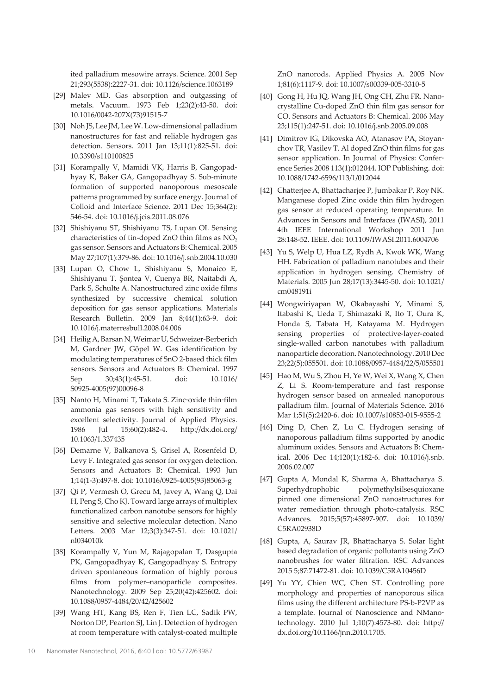ited palladium mesowire arrays. Science. 2001 Sep 21;293(5538):2227-31. doi: 10.1126/science.1063189

- [29] Malev MD. Gas absorption and outgassing of metals. Vacuum. 1973 Feb 1;23(2):43-50. doi: 10.1016/0042-207X(73)91515-7
- [30] Noh JS, Lee JM, Lee W. Low-dimensional palladium nanostructures for fast and reliable hydrogen gas detection. Sensors. 2011 Jan 13;11(1):825-51. doi: 10.3390/s110100825
- [31] Korampally V, Mamidi VK, Harris B, Gangopadhyay K, Baker GA, Gangopadhyay S. Sub-minute formation of supported nanoporous mesoscale patterns programmed by surface energy. Journal of Colloid and Interface Science. 2011 Dec 15;364(2): 546-54. doi: 10.1016/j.jcis.2011.08.076
- [32] Shishiyanu ST, Shishiyanu TS, Lupan OI. Sensing characteristics of tin-doped ZnO thin films as  $NO<sub>2</sub>$ gas sensor. Sensors and Actuators B: Chemical. 2005 May 27;107(1):379-86. doi: 10.1016/j.snb.2004.10.030
- [33] Lupan O, Chow L, Shishiyanu S, Monaico E, Shishiyanu T, Şontea V, Cuenya BR, Naitabdi A, Park S, Schulte A. Nanostructured zinc oxide films synthesized by successive chemical solution deposition for gas sensor applications. Materials Research Bulletin. 2009 Jan 8;44(1):63-9. doi: 10.1016/j.materresbull.2008.04.006
- [34] Heilig A, Barsan N, Weimar U, Schweizer-Berberich M, Gardner JW, Göpel W. Gas identification by modulating temperatures of SnO 2-based thick film sensors. Sensors and Actuators B: Chemical. 1997 Sep 30;43(1):45-51. doi: 10.1016/ S0925-4005(97)00096-8
- [35] Nanto H, Minami T, Takata S. Zinc‐oxide thin‐film ammonia gas sensors with high sensitivity and excellent selectivity. Journal of Applied Physics. 1986 Jul 15;60(2):482-4. http://dx.doi.org/ 10.1063/1.337435
- [36] Demarne V, Balkanova S, Grisel A, Rosenfeld D, Levy F. Integrated gas sensor for oxygen detection. Sensors and Actuators B: Chemical. 1993 Jun 1;14(1-3):497-8. doi: 10.1016/0925-4005(93)85063-g
- [37] Qi P, Vermesh O, Grecu M, Javey A, Wang Q, Dai H, Peng S, Cho KJ. Toward large arrays of multiplex functionalized carbon nanotube sensors for highly sensitive and selective molecular detection. Nano Letters. 2003 Mar 12;3(3):347-51. doi: 10.1021/ nl034010k
- [38] Korampally V, Yun M, Rajagopalan T, Dasgupta PK, Gangopadhyay K, Gangopadhyay S. Entropy driven spontaneous formation of highly porous films from polymer–nanoparticle composites. Nanotechnology. 2009 Sep 25;20(42):425602. doi: 10.1088/0957-4484/20/42/425602
- [39] Wang HT, Kang BS, Ren F, Tien LC, Sadik PW, Norton DP, Pearton SJ, Lin J. Detection of hydrogen at room temperature with catalyst-coated multiple

ZnO nanorods. Applied Physics A. 2005 Nov 1;81(6):1117-9. doi: 10.1007/s00339-005-3310-5

- [40] Gong H, Hu JQ, Wang JH, Ong CH, Zhu FR. Nanocrystalline Cu-doped ZnO thin film gas sensor for CO. Sensors and Actuators B: Chemical. 2006 May 23;115(1):247-51. doi: 10.1016/j.snb.2005.09.008
- [41] Dimitrov IG, Dikovska AO, Atanasov PA, Stoyan‐ chov TR, Vasilev T. Al doped ZnO thin films for gas sensor application. In Journal of Physics: Confer‐ ence Series 2008 113(1):012044. IOP Publishing. doi: 10.1088/1742-6596/113/1/012044
- [42] Chatterjee A, Bhattacharjee P, Jumbakar P, Roy NK. Manganese doped Zinc oxide thin film hydrogen gas sensor at reduced operating temperature. In Advances in Sensors and Interfaces (IWASI), 2011 4th IEEE International Workshop 2011 Jun 28:148-52. IEEE. doi: 10.1109/IWASI.2011.6004706
- [43] Yu S, Welp U, Hua LZ, Rydh A, Kwok WK, Wang HH. Fabrication of palladium nanotubes and their application in hydrogen sensing. Chemistry of Materials. 2005 Jun 28;17(13):3445-50. doi: 10.1021/ cm048191i
- [44] Wongwiriyapan W, Okabayashi Y, Minami S, Itabashi K, Ueda T, Shimazaki R, Ito T, Oura K, Honda S, Tabata H, Katayama M. Hydrogen sensing properties of protective-layer-coated single-walled carbon nanotubes with palladium nanoparticle decoration. Nanotechnology. 2010 Dec 23;22(5):055501. doi: 10.1088/0957-4484/22/5/055501
- [45] Hao M, Wu S, Zhou H, Ye W, Wei X, Wang X, Chen Z, Li S. Room-temperature and fast response hydrogen sensor based on annealed nanoporous palladium film. Journal of Materials Science. 2016 Mar 1;51(5):2420-6. doi: 10.1007/s10853-015-9555-2
- [46] Ding D, Chen Z, Lu C. Hydrogen sensing of nanoporous palladium films supported by anodic aluminum oxides. Sensors and Actuators B: Chem‐ ical. 2006 Dec 14;120(1):182-6. doi: 10.1016/j.snb. 2006.02.007
- [47] Gupta A, Mondal K, Sharma A, Bhattacharya S. Superhydrophobic polymethylsilsesquioxane pinned one dimensional ZnO nanostructures for water remediation through photo-catalysis. RSC Advances. 2015;5(57):45897-907. doi: 10.1039/ C5RA02938D
- [48] Gupta, A, Saurav JR, Bhattacharya S. Solar light based degradation of organic pollutants using ZnO nanobrushes for water filtration. RSC Advances 2015 5;87:71472-81. doi: 10.1039/C5RA10456D
- [49] Yu YY, Chien WC, Chen ST. Controlling pore morphology and properties of nanoporous silica films using the different architecture PS-b-P2VP as a template. Journal of Nanoscience and NMano‐ technology. 2010 Jul 1;10(7):4573-80. doi: http:// dx.doi.org/10.1166/jnn.2010.1705.